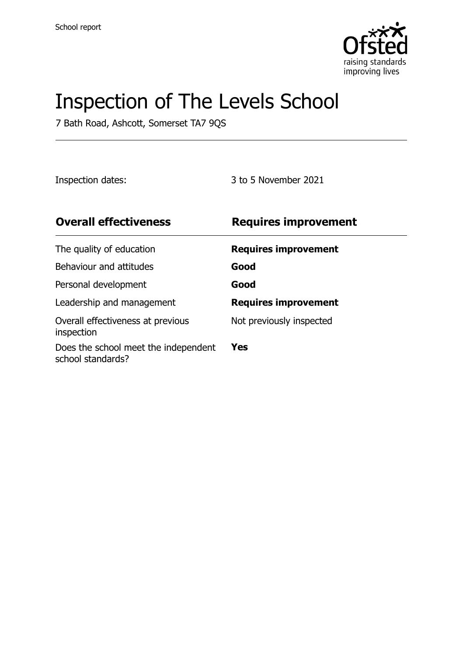

# Inspection of The Levels School

7 Bath Road, Ashcott, Somerset TA7 9QS

Inspection dates: 3 to 5 November 2021

| <b>Overall effectiveness</b>                              | <b>Requires improvement</b> |
|-----------------------------------------------------------|-----------------------------|
| The quality of education                                  | <b>Requires improvement</b> |
| Behaviour and attitudes                                   | Good                        |
| Personal development                                      | Good                        |
| Leadership and management                                 | <b>Requires improvement</b> |
| Overall effectiveness at previous<br>inspection           | Not previously inspected    |
| Does the school meet the independent<br>school standards? | Yes                         |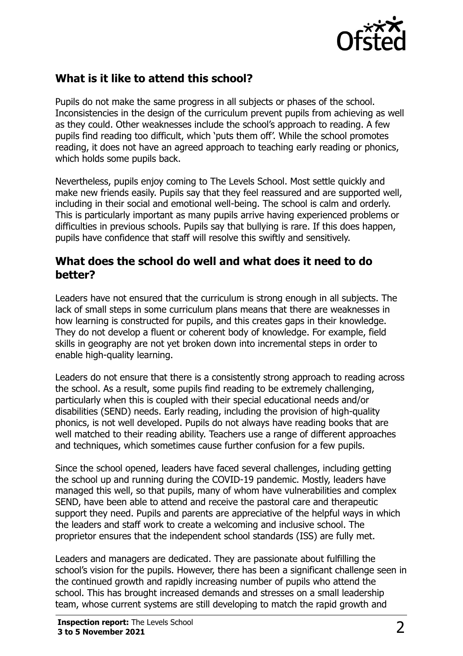

### **What is it like to attend this school?**

Pupils do not make the same progress in all subjects or phases of the school. Inconsistencies in the design of the curriculum prevent pupils from achieving as well as they could. Other weaknesses include the school's approach to reading. A few pupils find reading too difficult, which 'puts them off'. While the school promotes reading, it does not have an agreed approach to teaching early reading or phonics, which holds some pupils back.

Nevertheless, pupils enjoy coming to The Levels School. Most settle quickly and make new friends easily. Pupils say that they feel reassured and are supported well, including in their social and emotional well-being. The school is calm and orderly. This is particularly important as many pupils arrive having experienced problems or difficulties in previous schools. Pupils say that bullying is rare. If this does happen, pupils have confidence that staff will resolve this swiftly and sensitively.

#### **What does the school do well and what does it need to do better?**

Leaders have not ensured that the curriculum is strong enough in all subjects. The lack of small steps in some curriculum plans means that there are weaknesses in how learning is constructed for pupils, and this creates gaps in their knowledge. They do not develop a fluent or coherent body of knowledge. For example, field skills in geography are not yet broken down into incremental steps in order to enable high-quality learning.

Leaders do not ensure that there is a consistently strong approach to reading across the school. As a result, some pupils find reading to be extremely challenging, particularly when this is coupled with their special educational needs and/or disabilities (SEND) needs. Early reading, including the provision of high-quality phonics, is not well developed. Pupils do not always have reading books that are well matched to their reading ability. Teachers use a range of different approaches and techniques, which sometimes cause further confusion for a few pupils.

Since the school opened, leaders have faced several challenges, including getting the school up and running during the COVID-19 pandemic. Mostly, leaders have managed this well, so that pupils, many of whom have vulnerabilities and complex SEND, have been able to attend and receive the pastoral care and therapeutic support they need. Pupils and parents are appreciative of the helpful ways in which the leaders and staff work to create a welcoming and inclusive school. The proprietor ensures that the independent school standards (ISS) are fully met.

Leaders and managers are dedicated. They are passionate about fulfilling the school's vision for the pupils. However, there has been a significant challenge seen in the continued growth and rapidly increasing number of pupils who attend the school. This has brought increased demands and stresses on a small leadership team, whose current systems are still developing to match the rapid growth and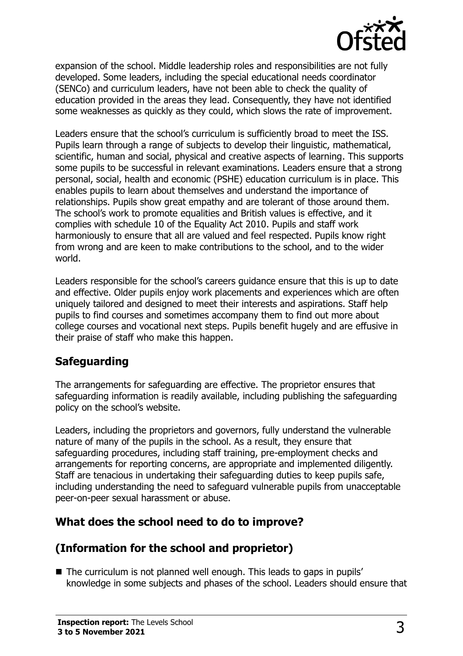

expansion of the school. Middle leadership roles and responsibilities are not fully developed. Some leaders, including the special educational needs coordinator (SENCo) and curriculum leaders, have not been able to check the quality of education provided in the areas they lead. Consequently, they have not identified some weaknesses as quickly as they could, which slows the rate of improvement.

Leaders ensure that the school's curriculum is sufficiently broad to meet the ISS. Pupils learn through a range of subjects to develop their linguistic, mathematical, scientific, human and social, physical and creative aspects of learning. This supports some pupils to be successful in relevant examinations. Leaders ensure that a strong personal, social, health and economic (PSHE) education curriculum is in place. This enables pupils to learn about themselves and understand the importance of relationships. Pupils show great empathy and are tolerant of those around them. The school's work to promote equalities and British values is effective, and it complies with schedule 10 of the Equality Act 2010. Pupils and staff work harmoniously to ensure that all are valued and feel respected. Pupils know right from wrong and are keen to make contributions to the school, and to the wider world.

Leaders responsible for the school's careers guidance ensure that this is up to date and effective. Older pupils enjoy work placements and experiences which are often uniquely tailored and designed to meet their interests and aspirations. Staff help pupils to find courses and sometimes accompany them to find out more about college courses and vocational next steps. Pupils benefit hugely and are effusive in their praise of staff who make this happen.

#### **Safeguarding**

The arrangements for safeguarding are effective. The proprietor ensures that safeguarding information is readily available, including publishing the safeguarding policy on the school's website.

Leaders, including the proprietors and governors, fully understand the vulnerable nature of many of the pupils in the school. As a result, they ensure that safeguarding procedures, including staff training, pre-employment checks and arrangements for reporting concerns, are appropriate and implemented diligently. Staff are tenacious in undertaking their safeguarding duties to keep pupils safe, including understanding the need to safeguard vulnerable pupils from unacceptable peer-on-peer sexual harassment or abuse.

#### **What does the school need to do to improve?**

#### **(Information for the school and proprietor)**

The curriculum is not planned well enough. This leads to gaps in pupils' knowledge in some subjects and phases of the school. Leaders should ensure that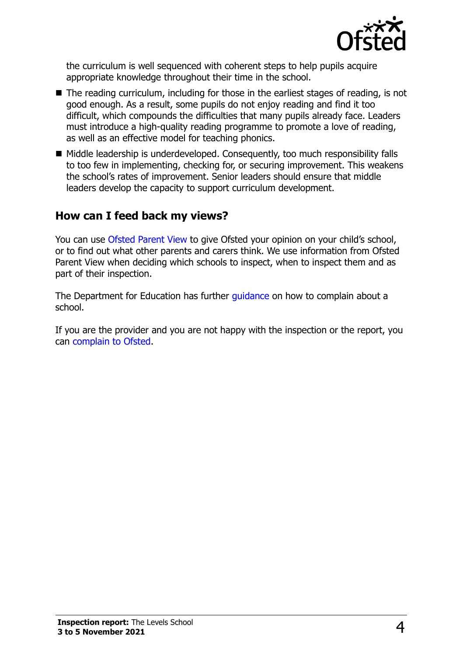

the curriculum is well sequenced with coherent steps to help pupils acquire appropriate knowledge throughout their time in the school.

- The reading curriculum, including for those in the earliest stages of reading, is not good enough. As a result, some pupils do not enjoy reading and find it too difficult, which compounds the difficulties that many pupils already face. Leaders must introduce a high-quality reading programme to promote a love of reading, as well as an effective model for teaching phonics.
- Middle leadership is underdeveloped. Consequently, too much responsibility falls to too few in implementing, checking for, or securing improvement. This weakens the school's rates of improvement. Senior leaders should ensure that middle leaders develop the capacity to support curriculum development.

#### **How can I feed back my views?**

You can use [Ofsted Parent View](http://parentview.ofsted.gov.uk/) to give Ofsted your opinion on your child's school, or to find out what other parents and carers think. We use information from Ofsted Parent View when deciding which schools to inspect, when to inspect them and as part of their inspection.

The Department for Education has further quidance on how to complain about a school.

If you are the provider and you are not happy with the inspection or the report, you can [complain to Ofsted.](http://www.gov.uk/complain-ofsted-report)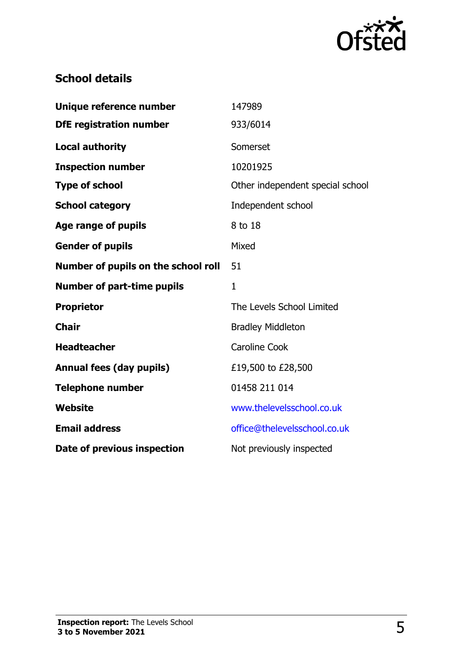

#### **School details**

| Unique reference number             | 147989                           |
|-------------------------------------|----------------------------------|
| <b>DfE registration number</b>      | 933/6014                         |
| <b>Local authority</b>              | Somerset                         |
| <b>Inspection number</b>            | 10201925                         |
| <b>Type of school</b>               | Other independent special school |
| <b>School category</b>              | Independent school               |
| <b>Age range of pupils</b>          | 8 to 18                          |
| <b>Gender of pupils</b>             | Mixed                            |
| Number of pupils on the school roll | 51                               |
|                                     |                                  |
| <b>Number of part-time pupils</b>   | $\mathbf{1}$                     |
| <b>Proprietor</b>                   | The Levels School Limited        |
| <b>Chair</b>                        | <b>Bradley Middleton</b>         |
| <b>Headteacher</b>                  | <b>Caroline Cook</b>             |
| <b>Annual fees (day pupils)</b>     | £19,500 to £28,500               |
| <b>Telephone number</b>             | 01458 211 014                    |
| <b>Website</b>                      | www.thelevelsschool.co.uk        |
| <b>Email address</b>                | office@thelevelsschool.co.uk     |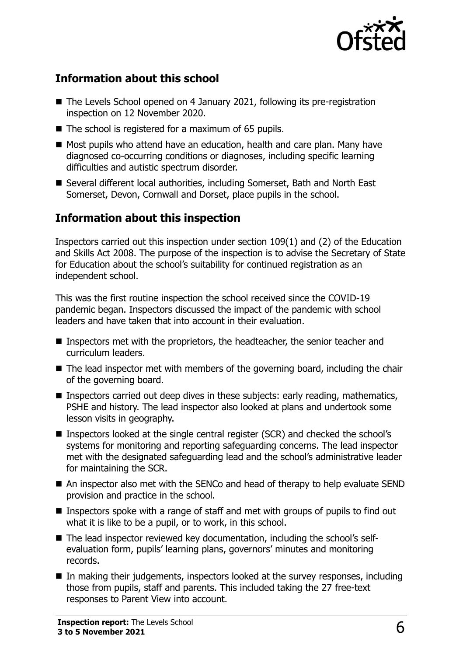

## **Information about this school**

- The Levels School opened on 4 January 2021, following its pre-registration inspection on 12 November 2020.
- $\blacksquare$  The school is registered for a maximum of 65 pupils.
- Most pupils who attend have an education, health and care plan. Many have diagnosed co-occurring conditions or diagnoses, including specific learning difficulties and autistic spectrum disorder.
- Several different local authorities, including Somerset, Bath and North East Somerset, Devon, Cornwall and Dorset, place pupils in the school.

## **Information about this inspection**

Inspectors carried out this inspection under section 109(1) and (2) of the Education and Skills Act 2008. The purpose of the inspection is to advise the Secretary of State for Education about the school's suitability for continued registration as an independent school.

This was the first routine inspection the school received since the COVID-19 pandemic began. Inspectors discussed the impact of the pandemic with school leaders and have taken that into account in their evaluation.

- **Inspectors met with the proprietors, the headteacher, the senior teacher and** curriculum leaders.
- The lead inspector met with members of the governing board, including the chair of the governing board.
- Inspectors carried out deep dives in these subjects: early reading, mathematics, PSHE and history. The lead inspector also looked at plans and undertook some lesson visits in geography.
- Inspectors looked at the single central register (SCR) and checked the school's systems for monitoring and reporting safeguarding concerns. The lead inspector met with the designated safeguarding lead and the school's administrative leader for maintaining the SCR.
- An inspector also met with the SENCo and head of therapy to help evaluate SEND provision and practice in the school.
- Inspectors spoke with a range of staff and met with groups of pupils to find out what it is like to be a pupil, or to work, in this school.
- The lead inspector reviewed key documentation, including the school's selfevaluation form, pupils' learning plans, governors' minutes and monitoring records.
- In making their judgements, inspectors looked at the survey responses, including those from pupils, staff and parents. This included taking the 27 free-text responses to Parent View into account.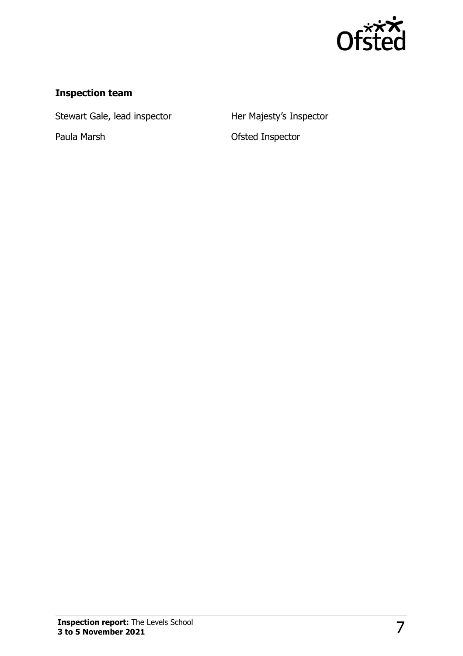

#### **Inspection team**

Stewart Gale, lead inspector **Her Majesty's Inspector** 

Paula Marsh **Cause Contract Contract Paula Marsh** Ofsted Inspector